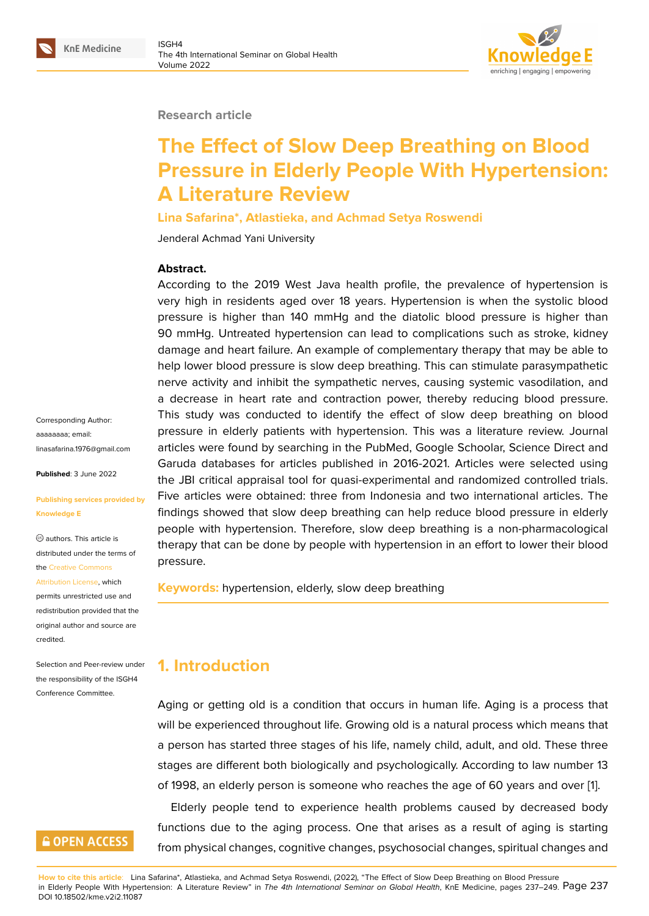#### **Research article**

# **The Effect of Slow Deep Breathing on Blood Pressure in Elderly People With Hypertension: A Literature Review**

**Lina Safarina\*, Atlastieka, and Achmad Setya Roswendi**

Jenderal Achmad Yani University

### **Abstract.**

According to the 2019 West Java health profile, the prevalence of hypertension is very high in residents aged over 18 years. Hypertension is when the systolic blood pressure is higher than 140 mmHg and the diatolic blood pressure is higher than 90 mmHg. Untreated hypertension can lead to complications such as stroke, kidney damage and heart failure. An example of complementary therapy that may be able to help lower blood pressure is slow deep breathing. This can stimulate parasympathetic nerve activity and inhibit the sympathetic nerves, causing systemic vasodilation, and a decrease in heart rate and contraction power, thereby reducing blood pressure. This study was conducted to identify the effect of slow deep breathing on blood pressure in elderly patients with hypertension. This was a literature review. Journal articles were found by searching in the PubMed, Google Schoolar, Science Direct and Garuda databases for articles published in 2016-2021. Articles were selected using the JBI critical appraisal tool for quasi-experimental and randomized controlled trials. Five articles were obtained: three from Indonesia and two international articles. The findings showed that slow deep breathing can help reduce blood pressure in elderly people with hypertension. Therefore, slow deep breathing is a non-pharmacological therapy that can be done by people with hypertension in an effort to lower their blood pressure.

**Keywords:** hypertension, elderly, slow deep breathing

## **1. Introduction**

Aging or getting old is a condition that occurs in human life. Aging is a process that will be experienced throughout life. Growing old is a natural process which means that a person has started three stages of his life, namely child, adult, and old. These three stages are different both biologically and psychologically. According to law number 13 of 1998, an elderly person is someone who reaches the age of 60 years and over [1].

Elderly people tend to experience health problems caused by decreased body functions due to the aging process. One that arises as a result of aging is starting from physical changes, cognitive changes, psychosocial changes, spiritual changes [an](#page-10-0)d

**How to cite this article**: Lina Safarina\*, Atlastieka, and Achmad Setya Roswendi, (2022), "The Effect of Slow Deep Breathing on Blood Pressure in Elderly People With Hypertension: A Literature Review" in *The 4th International Seminar on Global Health*, KnE Medicine, pages 237–249. Page 237 DOI 10.18502/kme.v2i2.11087

Corresponding Author: aaaaaaaa; email: linasafarina.1976@gmail.com

**Published**: 3 June 2022

#### **[Publishing services provided](mailto:linasafarina.1976@gmail.com) by Knowledge E**

authors. This article is distributed under the terms of the Creative Commons

#### Attribution License, which

permits unrestricted use and redistribution provided that the orig[inal author and sou](https://creativecommons.org/licenses/by/4.0/)rce are [credited.](https://creativecommons.org/licenses/by/4.0/)

Selection and Peer-review under the responsibility of the ISGH4 Conference Committee.

## **GOPEN ACCESS**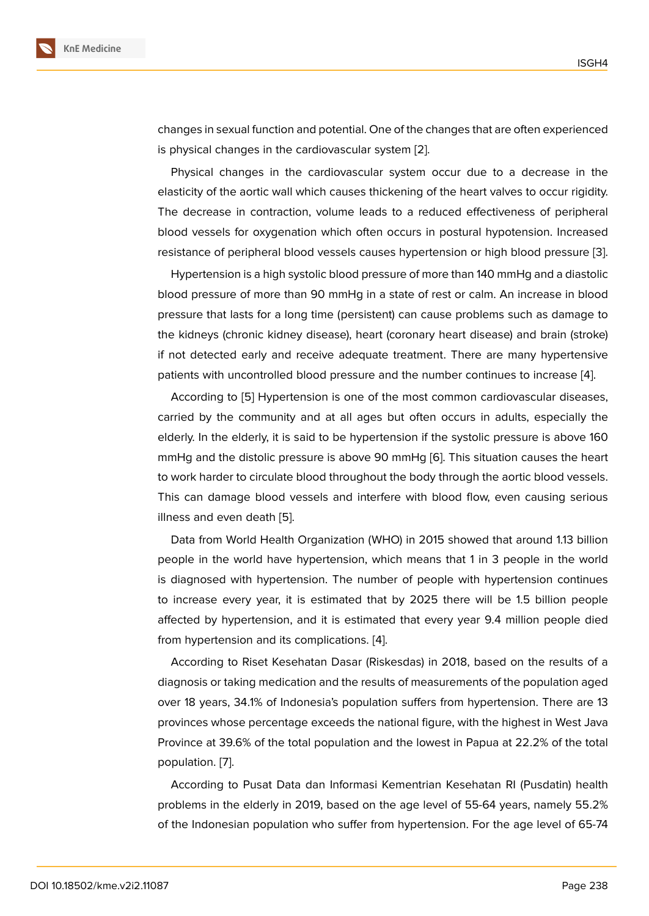changes in sexual function and potential. One of the changes that are often experienced is physical changes in the cardiovascular system [2].

Physical changes in the cardiovascular system occur due to a decrease in the elasticity of the aortic wall which causes thickening of the heart valves to occur rigidity. The decrease in contraction, volume leads to a [re](#page-10-1)duced effectiveness of peripheral blood vessels for oxygenation which often occurs in postural hypotension. Increased resistance of peripheral blood vessels causes hypertension or high blood pressure [3].

Hypertension is a high systolic blood pressure of more than 140 mmHg and a diastolic blood pressure of more than 90 mmHg in a state of rest or calm. An increase in blood pressure that lasts for a long time (persistent) can cause problems such as damage [to](#page-10-2) the kidneys (chronic kidney disease), heart (coronary heart disease) and brain (stroke) if not detected early and receive adequate treatment. There are many hypertensive patients with uncontrolled blood pressure and the number continues to increase [4].

According to [5] Hypertension is one of the most common cardiovascular diseases, carried by the community and at all ages but often occurs in adults, especially the elderly. In the elderly, it is said to be hypertension if the systolic pressure is abov[e 1](#page-10-3)60 mmHg and the [dis](#page-10-4)tolic pressure is above 90 mmHg [6]. This situation causes the heart to work harder to circulate blood throughout the body through the aortic blood vessels. This can damage blood vessels and interfere with blood flow, even causing serious illness and even death [5].

Data from World Health Organization (WHO) in 2015 showed that around 1.13 billion people in the world have hypertension, which means that 1 in 3 people in the world is diagnosed with hyp[ert](#page-10-4)ension. The number of people with hypertension continues to increase every year, it is estimated that by 2025 there will be 1.5 billion people affected by hypertension, and it is estimated that every year 9.4 million people died from hypertension and its complications. [4].

According to Riset Kesehatan Dasar (Riskesdas) in 2018, based on the results of a diagnosis or taking medication and the results of measurements of the population aged over 18 years, 34.1% of Indonesia's popul[ati](#page-10-3)on suffers from hypertension. There are 13 provinces whose percentage exceeds the national figure, with the highest in West Java Province at 39.6% of the total population and the lowest in Papua at 22.2% of the total population. [7].

According to Pusat Data dan Informasi Kementrian Kesehatan RI (Pusdatin) health problems in the elderly in 2019, based on the age level of 55-64 years, namely 55.2% of the Indon[es](#page-10-5)ian population who suffer from hypertension. For the age level of 65-74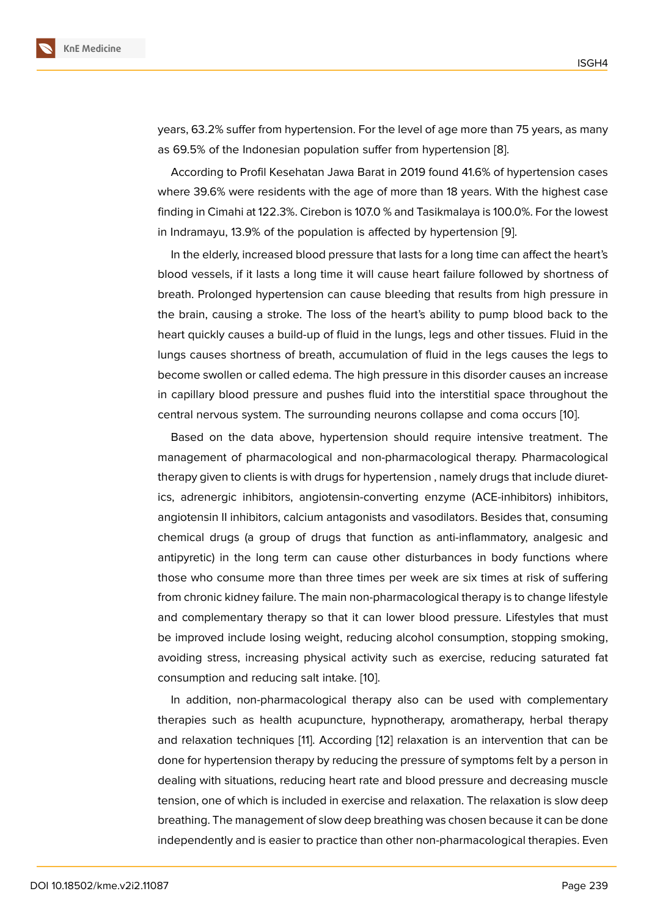years, 63.2% suffer from hypertension. For the level of age more than 75 years, as many as 69.5% of the Indonesian population suffer from hypertension [8].

According to Profil Kesehatan Jawa Barat in 2019 found 41.6% of hypertension cases where 39.6% were residents with the age of more than 18 years. With the highest case finding in Cimahi at 122.3%. Cirebon is 107.0 % and Tasikmalaya is [10](#page-10-6)0.0%. For the lowest in Indramayu, 13.9% of the population is affected by hypertension [9].

In the elderly, increased blood pressure that lasts for a long time can affect the heart's blood vessels, if it lasts a long time it will cause heart failure followed by shortness of breath. Prolonged hypertension can cause bleeding that results fr[om](#page-10-7) high pressure in the brain, causing a stroke. The loss of the heart's ability to pump blood back to the heart quickly causes a build-up of fluid in the lungs, legs and other tissues. Fluid in the lungs causes shortness of breath, accumulation of fluid in the legs causes the legs to become swollen or called edema. The high pressure in this disorder causes an increase in capillary blood pressure and pushes fluid into the interstitial space throughout the central nervous system. The surrounding neurons collapse and coma occurs [10].

Based on the data above, hypertension should require intensive treatment. The management of pharmacological and non-pharmacological therapy. Pharmacological therapy given to clients is with drugs for hypertension , namely drugs that inclu[de](#page-11-0) diuretics, adrenergic inhibitors, angiotensin-converting enzyme (ACE-inhibitors) inhibitors, angiotensin II inhibitors, calcium antagonists and vasodilators. Besides that, consuming chemical drugs (a group of drugs that function as anti-inflammatory, analgesic and antipyretic) in the long term can cause other disturbances in body functions where those who consume more than three times per week are six times at risk of suffering from chronic kidney failure. The main non-pharmacological therapy is to change lifestyle and complementary therapy so that it can lower blood pressure. Lifestyles that must be improved include losing weight, reducing alcohol consumption, stopping smoking, avoiding stress, increasing physical activity such as exercise, reducing saturated fat consumption and reducing salt intake. [10].

In addition, non-pharmacological therapy also can be used with complementary therapies such as health acupuncture, hypnotherapy, aromatherapy, herbal therapy and relaxation techniques [11]. Accordi[ng](#page-11-0) [12] relaxation is an intervention that can be done for hypertension therapy by reducing the pressure of symptoms felt by a person in dealing with situations, reducing heart rate and blood pressure and decreasing muscle tension, one of which is incl[ud](#page-11-1)ed in exercis[e a](#page-11-2)nd relaxation. The relaxation is slow deep breathing. The management of slow deep breathing was chosen because it can be done independently and is easier to practice than other non-pharmacological therapies. Even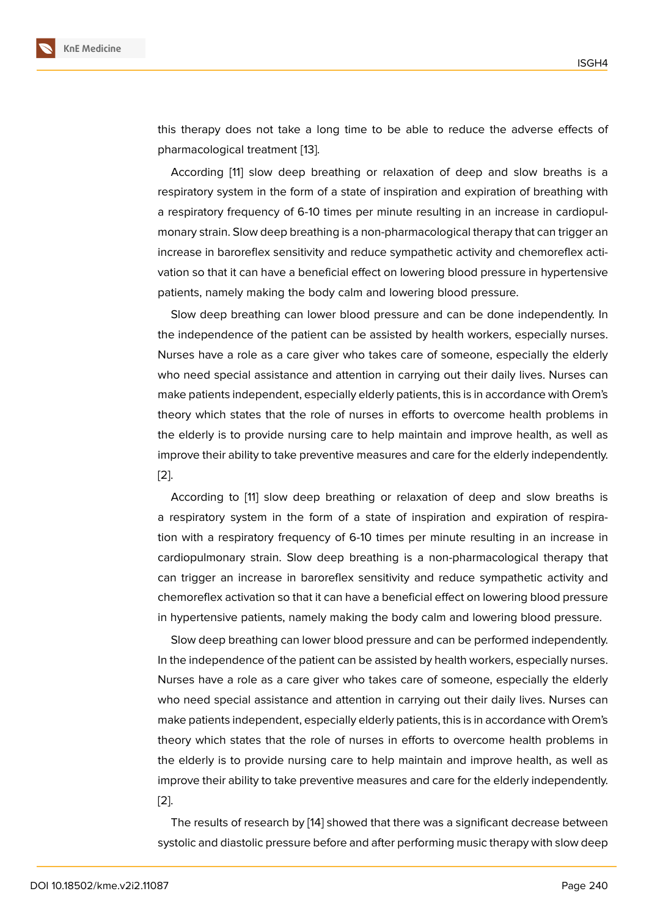this therapy does not take a long time to be able to reduce the adverse effects of pharmacological treatment [13].

According [11] slow deep breathing or relaxation of deep and slow breaths is a respiratory system in the form of a state of inspiration and expiration of breathing with a respiratory frequency of [6-10](#page-11-3) times per minute resulting in an increase in cardiopulmonary strain. [Sl](#page-11-1)ow deep breathing is a non-pharmacological therapy that can trigger an increase in baroreflex sensitivity and reduce sympathetic activity and chemoreflex activation so that it can have a beneficial effect on lowering blood pressure in hypertensive patients, namely making the body calm and lowering blood pressure.

Slow deep breathing can lower blood pressure and can be done independently. In the independence of the patient can be assisted by health workers, especially nurses. Nurses have a role as a care giver who takes care of someone, especially the elderly who need special assistance and attention in carrying out their daily lives. Nurses can make patients independent, especially elderly patients, this is in accordance with Orem's theory which states that the role of nurses in efforts to overcome health problems in the elderly is to provide nursing care to help maintain and improve health, as well as improve their ability to take preventive measures and care for the elderly independently. [2].

According to [11] slow deep breathing or relaxation of deep and slow breaths is a respiratory system in the form of a state of inspiration and expiration of respira[tio](#page-10-1)n with a respiratory frequency of 6-10 times per minute resulting in an increase in cardiopulmonary [s](#page-11-1)train. Slow deep breathing is a non-pharmacological therapy that can trigger an increase in baroreflex sensitivity and reduce sympathetic activity and chemoreflex activation so that it can have a beneficial effect on lowering blood pressure in hypertensive patients, namely making the body calm and lowering blood pressure.

Slow deep breathing can lower blood pressure and can be performed independently. In the independence of the patient can be assisted by health workers, especially nurses. Nurses have a role as a care giver who takes care of someone, especially the elderly who need special assistance and attention in carrying out their daily lives. Nurses can make patients independent, especially elderly patients, this is in accordance with Orem's theory which states that the role of nurses in efforts to overcome health problems in the elderly is to provide nursing care to help maintain and improve health, as well as improve their ability to take preventive measures and care for the elderly independently. [2].

The results of research by [14] showed that there was a significant decrease between systolic and diastolic pressure before and after performing music therapy with slow deep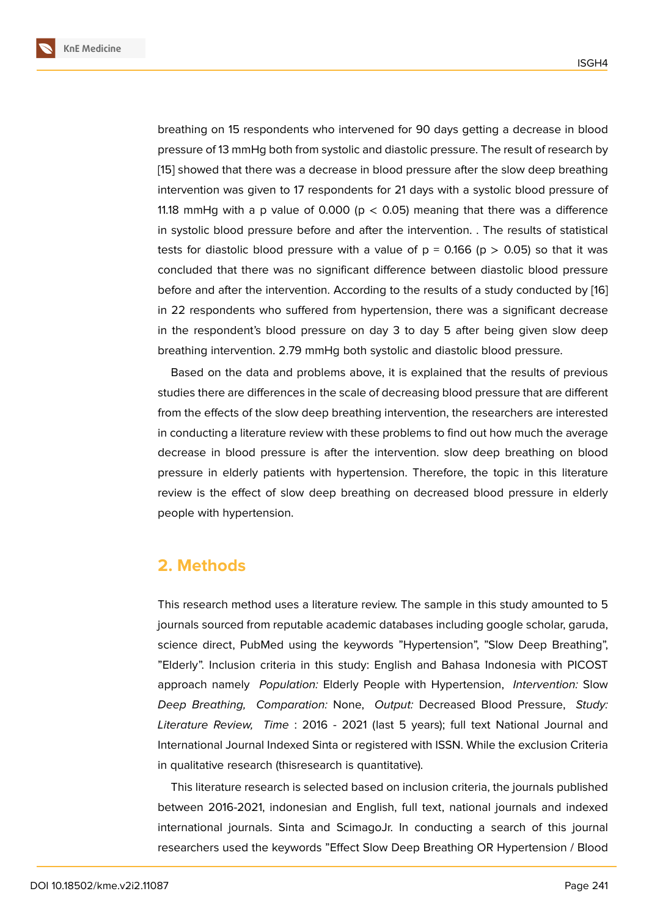breathing on 15 respondents who intervened for 90 days getting a decrease in blood pressure of 13 mmHg both from systolic and diastolic pressure. The result of research by [15] showed that there was a decrease in blood pressure after the slow deep breathing intervention was given to 17 respondents for 21 days with a systolic blood pressure of 11.18 mmHg with a p value of 0.000 ( $p < 0.05$ ) meaning that there was a difference i[n s](#page-11-4)ystolic blood pressure before and after the intervention. . The results of statistical tests for diastolic blood pressure with a value of  $p = 0.166$  ( $p > 0.05$ ) so that it was concluded that there was no significant difference between diastolic blood pressure before and after the intervention. According to the results of a study conducted by [16] in 22 respondents who suffered from hypertension, there was a significant decrease in the respondent's blood pressure on day 3 to day 5 after being given slow deep breathing intervention. 2.79 mmHg both systolic and diastolic blood pressure.

Based on the data and problems above, it is explained that the results of previous studies there are differences in the scale of decreasing blood pressure that are different from the effects of the slow deep breathing intervention, the researchers are interested in conducting a literature review with these problems to find out how much the average decrease in blood pressure is after the intervention. slow deep breathing on blood pressure in elderly patients with hypertension. Therefore, the topic in this literature review is the effect of slow deep breathing on decreased blood pressure in elderly people with hypertension.

## **2. Methods**

This research method uses a literature review. The sample in this study amounted to 5 journals sourced from reputable academic databases including google scholar, garuda, science direct, PubMed using the keywords "Hypertension", "Slow Deep Breathing", "Elderly". Inclusion criteria in this study: English and Bahasa Indonesia with PICOST approach namely *Population:* Elderly People with Hypertension, *Intervention:* Slow *Deep Breathing, Comparation:* None, *Output:* Decreased Blood Pressure, *Study: Literature Review, Time* : 2016 - 2021 (last 5 years); full text National Journal and International Journal Indexed Sinta or registered with ISSN. While the exclusion Criteria in qualitative research (thisresearch is quantitative).

This literature research is selected based on inclusion criteria, the journals published between 2016-2021, indonesian and English, full text, national journals and indexed international journals. Sinta and ScimagoJr. In conducting a search of this journal researchers used the keywords "Effect Slow Deep Breathing OR Hypertension / Blood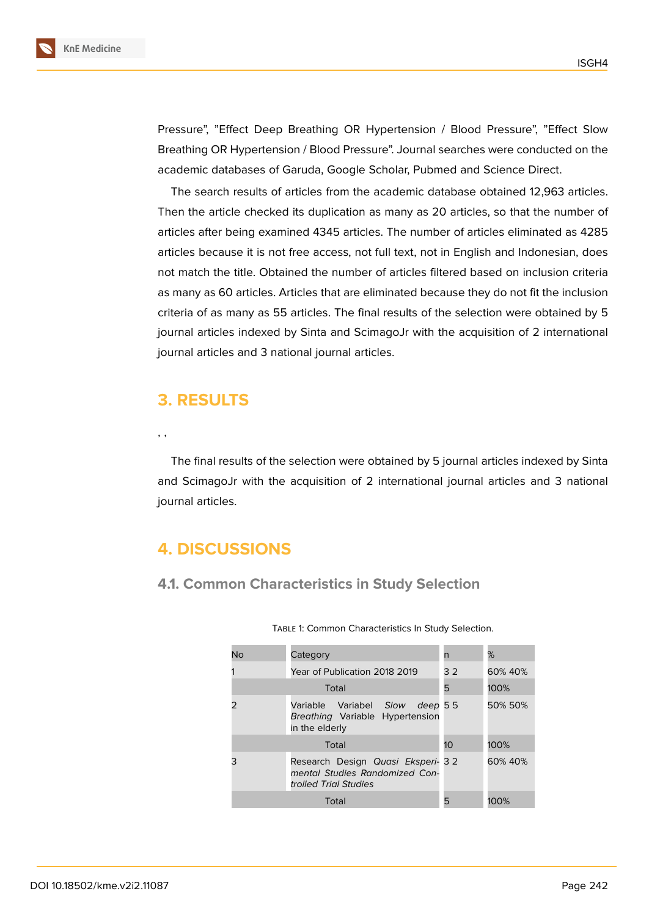Pressure", "Effect Deep Breathing OR Hypertension / Blood Pressure", "Effect Slow Breathing OR Hypertension / Blood Pressure". Journal searches were conducted on the academic databases of Garuda, Google Scholar, Pubmed and Science Direct.

The search results of articles from the academic database obtained 12,963 articles. Then the article checked its duplication as many as 20 articles, so that the number of articles after being examined 4345 articles. The number of articles eliminated as 4285 articles because it is not free access, not full text, not in English and Indonesian, does not match the title. Obtained the number of articles filtered based on inclusion criteria as many as 60 articles. Articles that are eliminated because they do not fit the inclusion criteria of as many as 55 articles. The final results of the selection were obtained by 5 journal articles indexed by Sinta and ScimagoJr with the acquisition of 2 international journal articles and 3 national journal articles.

## **3. RESULTS**

, ,

The final results of the selection were obtained by 5 journal articles indexed by Sinta and ScimagoJr with the acquisition of 2 international journal articles and 3 national journal articles.

## **4. DISCUSSIONS**

## **4.1. Common Characteristics in Study Selection**

| No | Category                                                                                     | n    | %       |
|----|----------------------------------------------------------------------------------------------|------|---------|
|    | Year of Publication 2018 2019                                                                | 32   | 60% 40% |
|    | 5                                                                                            | 100% |         |
|    | Variable Variabel Slow deep 55<br>Breathing Variable Hypertension<br>in the elderly          |      | 50% 50% |
|    | 10                                                                                           | 100% |         |
|    | Research Design Quasi Eksperi- 32<br>mental Studies Randomized Con-<br>trolled Trial Studies |      | 60% 40% |
|    | 5                                                                                            | 100% |         |

Table 1: Common Characteristics In Study Selection.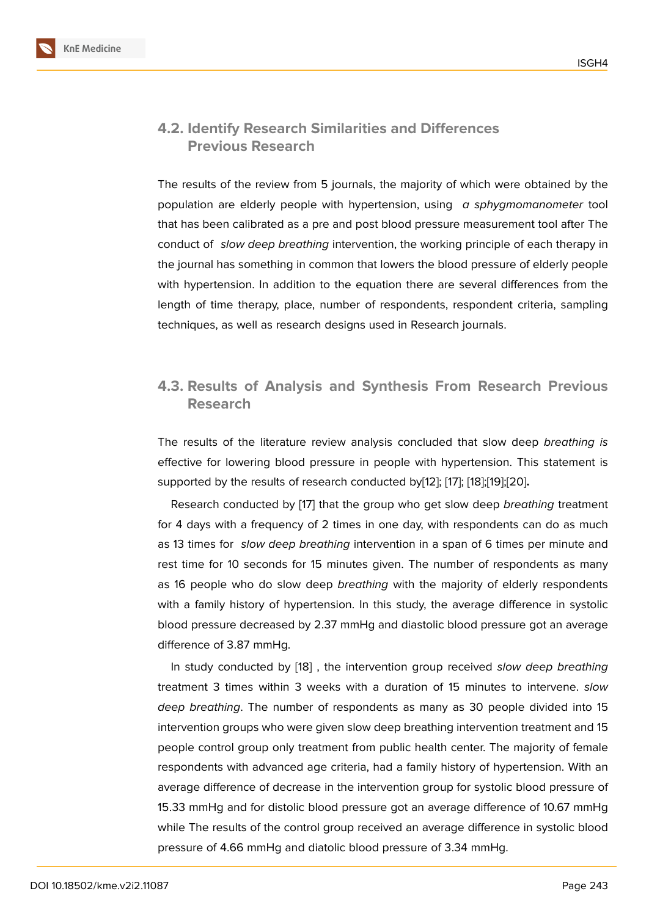### **4.2. Identify Research Similarities and Differences Previous Research**

The results of the review from 5 journals, the majority of which were obtained by the population are elderly people with hypertension, using *a sphygmomanometer* tool that has been calibrated as a pre and post blood pressure measurement tool after The conduct of *slow deep breathing* intervention, the working principle of each therapy in the journal has something in common that lowers the blood pressure of elderly people with hypertension. In addition to the equation there are several differences from the length of time therapy, place, number of respondents, respondent criteria, sampling techniques, as well as research designs used in Research journals.

## **4.3. Results of Analysis and Synthesis From Research Previous Research**

The results of the literature review analysis concluded that slow deep *breathing is* effective for lowering blood pressure in people with hypertension. This statement is supported by the results of research conducted by[12]; [17]; [18];[19];[20]**.**

Research conducted by [17] that the group who get slow deep *breathing* treatment for 4 days with a frequency of 2 times in one day, with respondents can do as much as 13 times for *slow deep breathing* intervention i[n a](#page-11-2) [spa](#page-11-5)n [of](#page-11-6) [6 ti](#page-11-7)[mes](#page-11-8) per minute and rest time for 10 seconds f[or 1](#page-11-5)5 minutes given. The number of respondents as many as 16 people who do slow deep *breathing* with the majority of elderly respondents with a family history of hypertension. In this study, the average difference in systolic blood pressure decreased by 2.37 mmHg and diastolic blood pressure got an average difference of 3.87 mmHg.

In study conducted by [18] , the intervention group received *slow deep breathing* treatment 3 times within 3 weeks with a duration of 15 minutes to intervene. *slow deep breathing*. The number of respondents as many as 30 people divided into 15 intervention groups who w[ere](#page-11-6) given slow deep breathing intervention treatment and 15 people control group only treatment from public health center. The majority of female respondents with advanced age criteria, had a family history of hypertension. With an average difference of decrease in the intervention group for systolic blood pressure of 15.33 mmHg and for distolic blood pressure got an average difference of 10.67 mmHg while The results of the control group received an average difference in systolic blood pressure of 4.66 mmHg and diatolic blood pressure of 3.34 mmHg.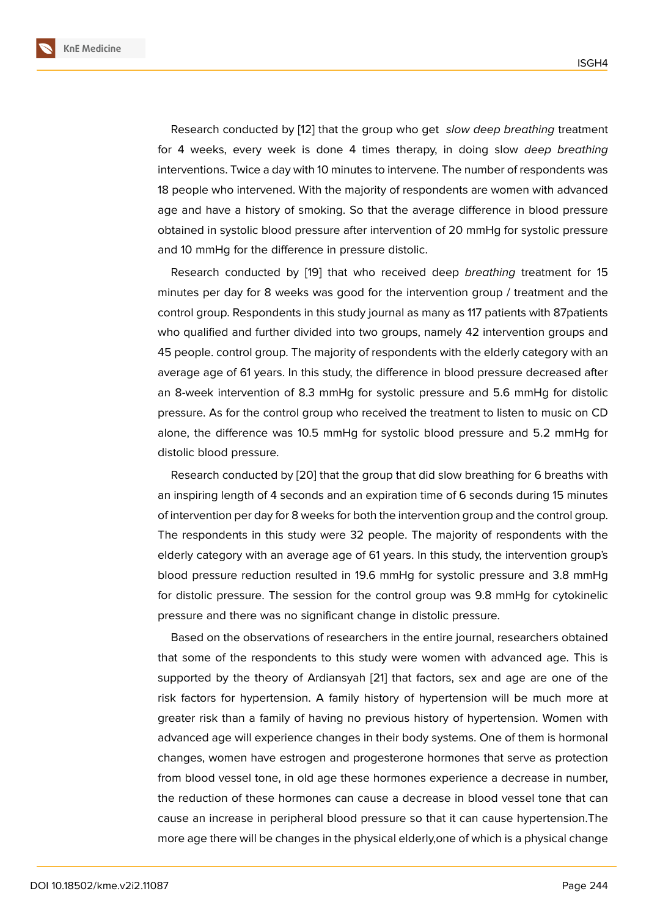Research conducted by [12] that the group who get *slow deep breathing* treatment for 4 weeks, every week is done 4 times therapy, in doing slow *deep breathing* interventions. Twice a day with 10 minutes to intervene. The number of respondents was 18 people who intervened. [Wi](#page-11-2)th the majority of respondents are women with advanced age and have a history of smoking. So that the average difference in blood pressure obtained in systolic blood pressure after intervention of 20 mmHg for systolic pressure and 10 mmHg for the difference in pressure distolic.

Research conducted by [19] that who received deep *breathing* treatment for 15 minutes per day for 8 weeks was good for the intervention group / treatment and the control group. Respondents in this study journal as many as 117 patients with 87patients who qualified and further di[vide](#page-11-7)d into two groups, namely 42 intervention groups and 45 people. control group. The majority of respondents with the elderly category with an average age of 61 years. In this study, the difference in blood pressure decreased after an 8-week intervention of 8.3 mmHg for systolic pressure and 5.6 mmHg for distolic pressure. As for the control group who received the treatment to listen to music on CD alone, the difference was 10.5 mmHg for systolic blood pressure and 5.2 mmHg for distolic blood pressure.

Research conducted by [20] that the group that did slow breathing for 6 breaths with an inspiring length of 4 seconds and an expiration time of 6 seconds during 15 minutes of intervention per day for 8 weeks for both the intervention group and the control group. The respondents in this st[udy](#page-11-8) were 32 people. The majority of respondents with the elderly category with an average age of 61 years. In this study, the intervention group's blood pressure reduction resulted in 19.6 mmHg for systolic pressure and 3.8 mmHg for distolic pressure. The session for the control group was 9.8 mmHg for cytokinelic pressure and there was no significant change in distolic pressure.

Based on the observations of researchers in the entire journal, researchers obtained that some of the respondents to this study were women with advanced age. This is supported by the theory of Ardiansyah [21] that factors, sex and age are one of the risk factors for hypertension. A family history of hypertension will be much more at greater risk than a family of having no previous history of hypertension. Women with advanced age will experience changes in [th](#page-11-9)eir body systems. One of them is hormonal changes, women have estrogen and progesterone hormones that serve as protection from blood vessel tone, in old age these hormones experience a decrease in number, the reduction of these hormones can cause a decrease in blood vessel tone that can cause an increase in peripheral blood pressure so that it can cause hypertension.The more age there will be changes in the physical elderly,one of which is a physical change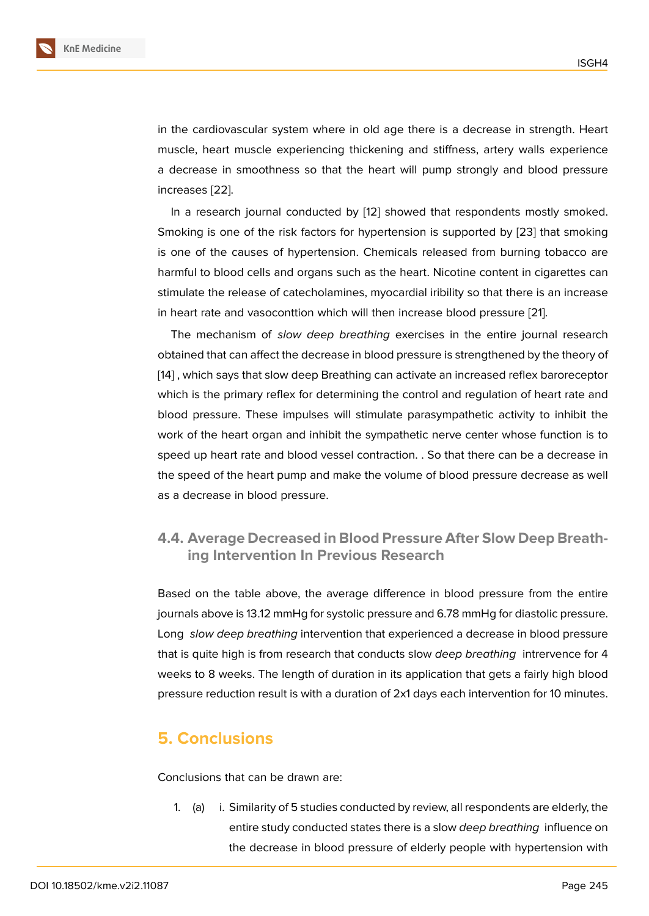in the cardiovascular system where in old age there is a decrease in strength. Heart muscle, heart muscle experiencing thickening and stiffness, artery walls experience a decrease in smoothness so that the heart will pump strongly and blood pressure increases [22].

In a research journal conducted by [12] showed that respondents mostly smoked. Smoking is one of the risk factors for hypertension is supported by [23] that smoking is one of [the](#page-11-10) causes of hypertension. Chemicals released from burning tobacco are harmful to blood cells and organs such [as](#page-11-2) the heart. Nicotine content in cigarettes can stimulate the release of catecholamines, myocardial iribility so that th[ere](#page-12-0) is an increase in heart rate and vasoconttion which will then increase blood pressure [21].

The mechanism of *slow deep breathing* exercises in the entire journal research obtained that can affect the decrease in blood pressure is strengthened by the theory of [14] , which says that slow deep Breathing can activate an increased refl[ex b](#page-11-9)aroreceptor which is the primary reflex for determining the control and regulation of heart rate and blood pressure. These impulses will stimulate parasympathetic activity to inhibit the [wo](#page-11-11)rk of the heart organ and inhibit the sympathetic nerve center whose function is to speed up heart rate and blood vessel contraction. . So that there can be a decrease in the speed of the heart pump and make the volume of blood pressure decrease as well as a decrease in blood pressure.

### **4.4. Average Decreased in Blood Pressure After Slow Deep Breathing Intervention In Previous Research**

Based on the table above, the average difference in blood pressure from the entire journals above is 13.12 mmHg for systolic pressure and 6.78 mmHg for diastolic pressure. Long *slow deep breathing* intervention that experienced a decrease in blood pressure that is quite high is from research that conducts slow *deep breathing* intrervence for 4 weeks to 8 weeks. The length of duration in its application that gets a fairly high blood pressure reduction result is with a duration of 2x1 days each intervention for 10 minutes.

## **5. Conclusions**

Conclusions that can be drawn are:

1. (a) i. Similarity of 5 studies conducted by review, all respondents are elderly, the entire study conducted states there is a slow *deep breathing* influence on the decrease in blood pressure of elderly people with hypertension with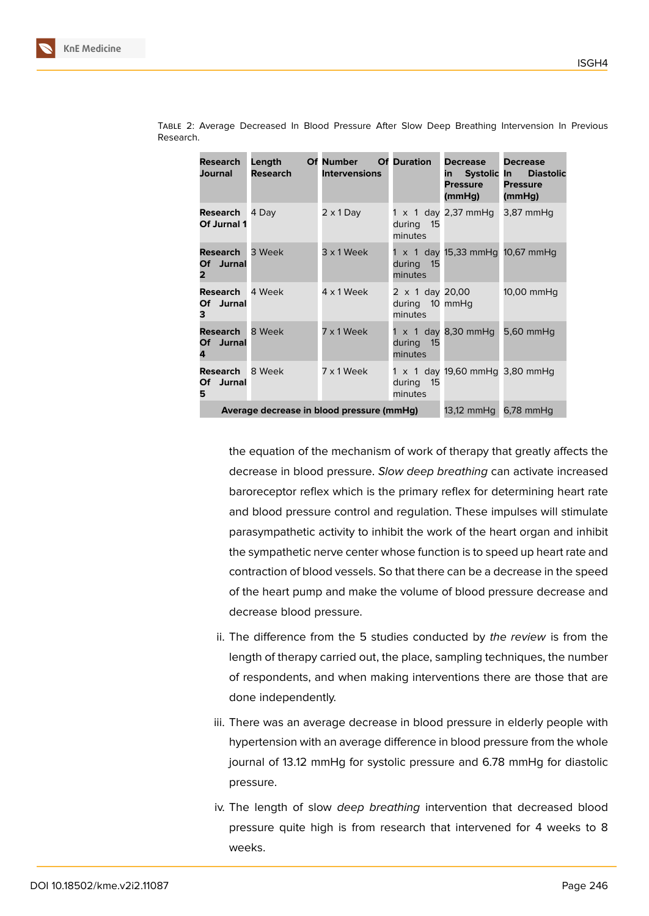| <b>Research</b><br><b>Journal</b>         | Length<br><b>Research</b>                 | <b>Of Number Of Duration</b><br><b>Intervensions</b> |                                                     | Decrease<br>Pressure<br>(mmHg)  | <b>Decrease</b><br>in Systolic In Diastolic<br><b>Pressure</b><br>(mmHg) |
|-------------------------------------------|-------------------------------------------|------------------------------------------------------|-----------------------------------------------------|---------------------------------|--------------------------------------------------------------------------|
| <b>Research</b> 4 Day<br>Of Jurnal 1      |                                           | $2 \times 1$ Day                                     | during 15<br>minutes                                | $1 \times 1$ day 2,37 mmHg      | $3,87$ mmHq                                                              |
| <b>Research</b> 3 Week<br>Of Jurnal<br>2. |                                           | 3 x 1 Week                                           | during<br>$-15$<br>minutes                          | 1 x 1 day 15,33 mmHg 10,67 mmHg |                                                                          |
| <b>Research</b> 4 Week<br>Of Jurnal<br>3. |                                           | 4 x 1 Week                                           | $2 \times 1$ day 20,00<br>during 10 mmHg<br>minutes |                                 | 10,00 mmHq                                                               |
| <b>Research</b> 8 Week<br>Of Jurnal<br>4  |                                           | 7 x 1 Week                                           | during<br>- 15<br>minutes                           | $1 \times 1$ day 8,30 mmHq      | $5,60$ mmHq                                                              |
| <b>Research</b> 8 Week<br>Of Jurnal<br>5  |                                           | 7 x 1 Week                                           | during 15<br>minutes                                | 1 x 1 day 19,60 mmHg 3,80 mmHg  |                                                                          |
|                                           | Average decrease in blood pressure (mmHg) | 13,12 mmHg 6,78 mmHg                                 |                                                     |                                 |                                                                          |

Table 2: Average Decreased In Blood Pressure After Slow Deep Breathing Intervension In Previous Research.

> the equation of the mechanism of work of therapy that greatly affects the decrease in blood pressure. *Slow deep breathing* can activate increased baroreceptor reflex which is the primary reflex for determining heart rate and blood pressure control and regulation. These impulses will stimulate parasympathetic activity to inhibit the work of the heart organ and inhibit the sympathetic nerve center whose function is to speed up heart rate and contraction of blood vessels. So that there can be a decrease in the speed of the heart pump and make the volume of blood pressure decrease and decrease blood pressure.

- ii. The difference from the 5 studies conducted by *the review* is from the length of therapy carried out, the place, sampling techniques, the number of respondents, and when making interventions there are those that are done independently.
- iii. There was an average decrease in blood pressure in elderly people with hypertension with an average difference in blood pressure from the whole journal of 13.12 mmHg for systolic pressure and 6.78 mmHg for diastolic pressure.
- iv. The length of slow *deep breathing* intervention that decreased blood pressure quite high is from research that intervened for 4 weeks to 8 weeks.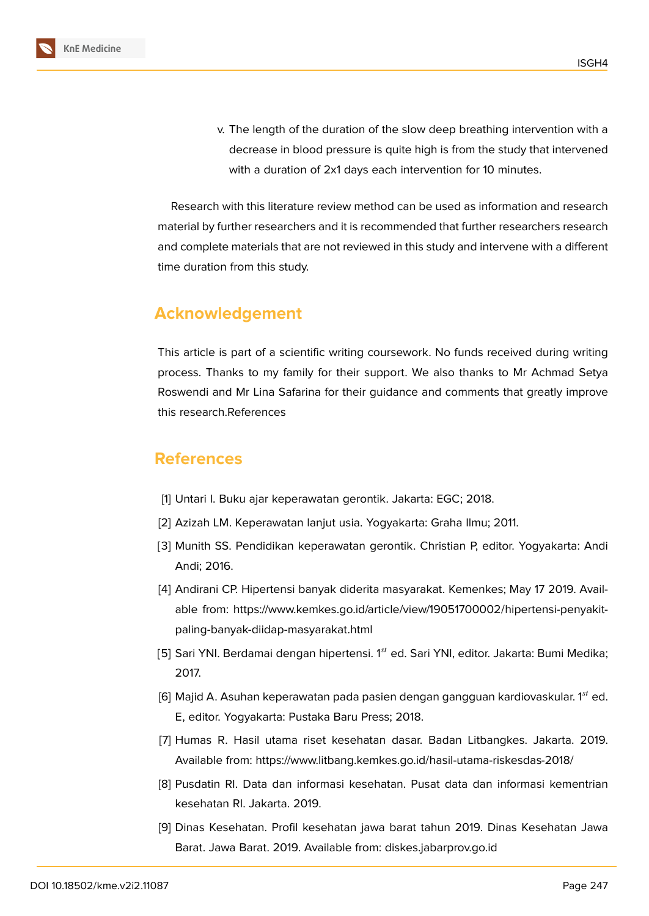v. The length of the duration of the slow deep breathing intervention with a decrease in blood pressure is quite high is from the study that intervened with a duration of 2x1 days each intervention for 10 minutes.

Research with this literature review method can be used as information and research material by further researchers and it is recommended that further researchers research and complete materials that are not reviewed in this study and intervene with a different time duration from this study.

### **Acknowledgement**

This article is part of a scientific writing coursework. No funds received during writing process. Thanks to my family for their support. We also thanks to Mr Achmad Setya Roswendi and Mr Lina Safarina for their guidance and comments that greatly improve this research.References

## **References**

- <span id="page-10-0"></span>[1] Untari I. Buku ajar keperawatan gerontik. Jakarta: EGC; 2018.
- <span id="page-10-1"></span>[2] Azizah LM. Keperawatan lanjut usia. Yogyakarta: Graha Ilmu; 2011.
- <span id="page-10-2"></span>[3] Munith SS. Pendidikan keperawatan gerontik. Christian P, editor. Yogyakarta: Andi Andi; 2016.
- <span id="page-10-3"></span>[4] Andirani CP. Hipertensi banyak diderita masyarakat. Kemenkes; May 17 2019. Available from: https://www.kemkes.go.id/article/view/19051700002/hipertensi-penyakitpaling-banyak-diidap-masyarakat.html
- <span id="page-10-4"></span>[5] Sari YNI. Berdamai dengan hipertensi. 1<sup>st</sup> ed. Sari YNI, editor. Jakarta: Bumi Medika; 2017.
- [6] Majid A. Asuhan keperawatan pada pasien dengan gangguan kardiovaskular. 1st ed. E, editor. Yogyakarta: Pustaka Baru Press; 2018.
- <span id="page-10-5"></span>[7] Humas R. Hasil utama riset kesehatan dasar. Badan Litbangkes. Jakarta. 2019. Available from: https://www.litbang.kemkes.go.id/hasil-utama-riskesdas-2018/
- <span id="page-10-6"></span>[8] Pusdatin RI. Data dan informasi kesehatan. Pusat data dan informasi kementrian kesehatan RI. Jakarta. 2019.
- <span id="page-10-7"></span>[9] Dinas Kesehatan. Profil kesehatan jawa barat tahun 2019. Dinas Kesehatan Jawa Barat. Jawa Barat. 2019. Available from: diskes.jabarprov.go.id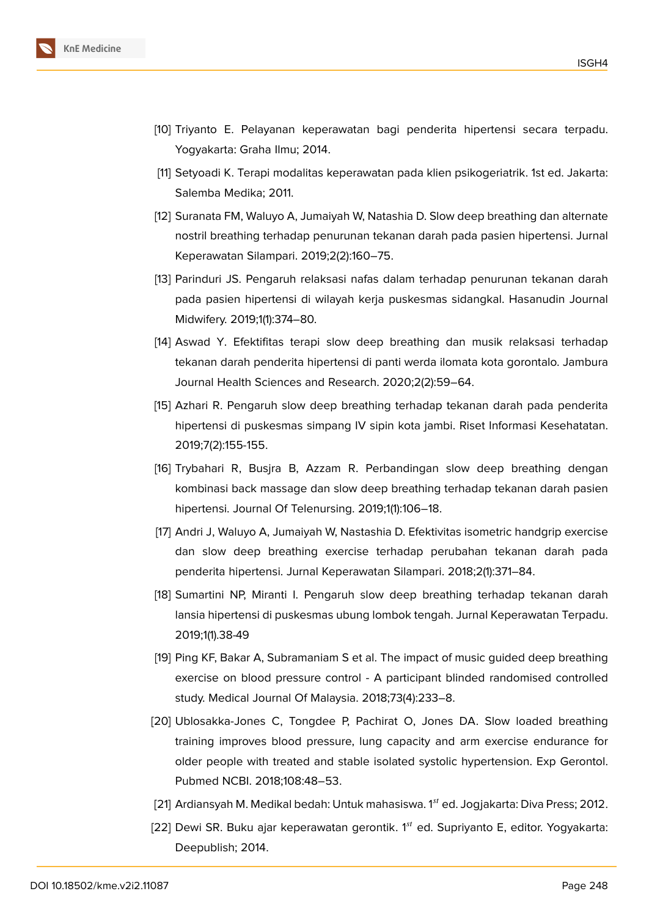

- <span id="page-11-0"></span>[10] Triyanto E. Pelayanan keperawatan bagi penderita hipertensi secara terpadu. Yogyakarta: Graha Ilmu; 2014.
- <span id="page-11-1"></span>[11] Setyoadi K. Terapi modalitas keperawatan pada klien psikogeriatrik. 1st ed. Jakarta: Salemba Medika; 2011.
- <span id="page-11-2"></span>[12] Suranata FM, Waluyo A, Jumaiyah W, Natashia D. Slow deep breathing dan alternate nostril breathing terhadap penurunan tekanan darah pada pasien hipertensi. Jurnal Keperawatan Silampari. 2019;2(2):160–75.
- <span id="page-11-3"></span>[13] Parinduri JS. Pengaruh relaksasi nafas dalam terhadap penurunan tekanan darah pada pasien hipertensi di wilayah kerja puskesmas sidangkal. Hasanudin Journal Midwifery. 2019;1(1):374–80.
- <span id="page-11-11"></span>[14] Aswad Y. Efektifitas terapi slow deep breathing dan musik relaksasi terhadap tekanan darah penderita hipertensi di panti werda ilomata kota gorontalo. Jambura Journal Health Sciences and Research. 2020;2(2):59–64.
- <span id="page-11-4"></span>[15] Azhari R. Pengaruh slow deep breathing terhadap tekanan darah pada penderita hipertensi di puskesmas simpang IV sipin kota jambi. Riset Informasi Kesehatatan. 2019;7(2):155-155.
- [16] Trybahari R, Busjra B, Azzam R. Perbandingan slow deep breathing dengan kombinasi back massage dan slow deep breathing terhadap tekanan darah pasien hipertensi. Journal Of Telenursing. 2019;1(1):106–18.
- <span id="page-11-5"></span>[17] Andri J, Waluyo A, Jumaiyah W, Nastashia D. Efektivitas isometric handgrip exercise dan slow deep breathing exercise terhadap perubahan tekanan darah pada penderita hipertensi. Jurnal Keperawatan Silampari. 2018;2(1):371–84.
- <span id="page-11-6"></span>[18] Sumartini NP, Miranti I. Pengaruh slow deep breathing terhadap tekanan darah lansia hipertensi di puskesmas ubung lombok tengah. Jurnal Keperawatan Terpadu. 2019;1(1).38-49
- <span id="page-11-7"></span>[19] Ping KF, Bakar A, Subramaniam S et al. The impact of music guided deep breathing exercise on blood pressure control - A participant blinded randomised controlled study. Medical Journal Of Malaysia. 2018;73(4):233–8.
- <span id="page-11-8"></span>[20] Ublosakka-Jones C, Tongdee P, Pachirat O, Jones DA. Slow loaded breathing training improves blood pressure, lung capacity and arm exercise endurance for older people with treated and stable isolated systolic hypertension. Exp Gerontol. Pubmed NCBI. 2018;108:48–53.
- <span id="page-11-9"></span>[21] Ardiansyah M. Medikal bedah: Untuk mahasiswa.  $1^{st}$  ed. Jogjakarta: Diva Press; 2012.
- <span id="page-11-10"></span>[22] Dewi SR. Buku ajar keperawatan gerontik.  $1<sup>st</sup>$  ed. Supriyanto E, editor. Yogyakarta: Deepublish; 2014.